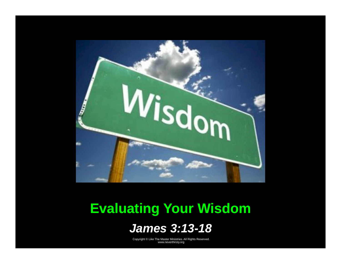

# **Evaluating Your Wisdom**

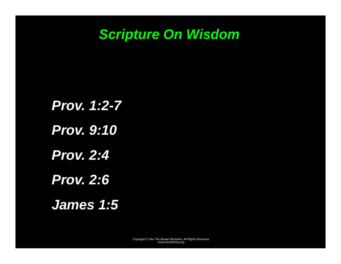# *Scripture On Wisdom*

*Prov. 1:2-7 Prov. 9:10 Prov. 2:4 Prov. 2:6 James 1:5*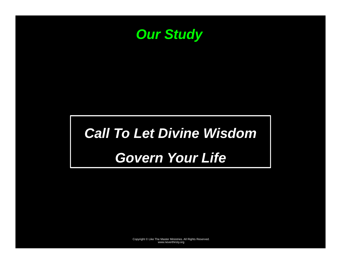

# *Call To Let Divine Wisdom*

# *Govern Your Life*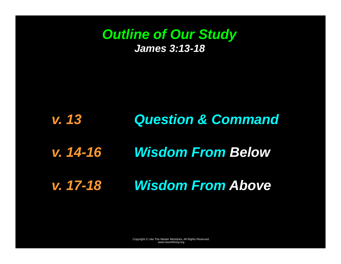## *Outline of Our Study James 3:13-18*

#### *v. 13 Question & Command*

# *v. 14-16 Wisdom From Below*

# *v. 17-18 Wisdom From Above*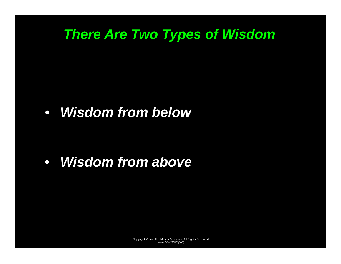# *There Are Two Types of Wisdom*

• *Wisdom from below* 

• *Wisdom from above*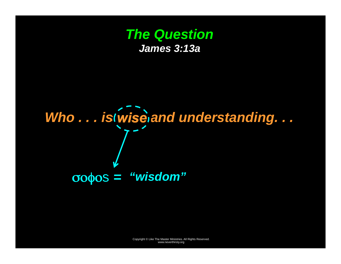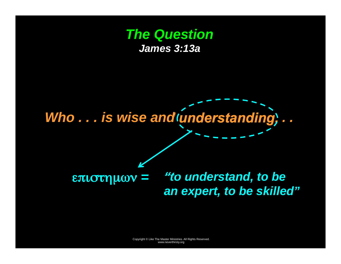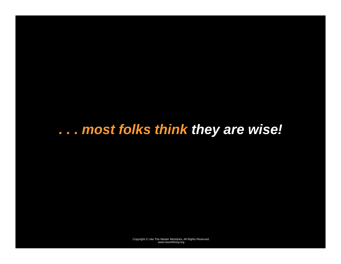# *. . . most folks think they are wise!*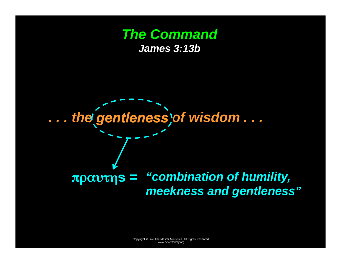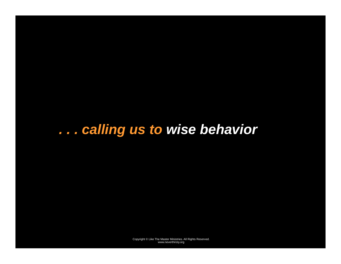# *. . . calling us to wise behavior*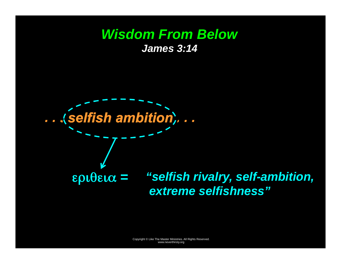#### *Wisdom From Below James 3:14*

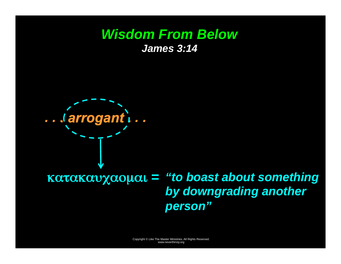#### **Wisdom From Below James 3:14**



# $\overline{\text{K}\alpha\text{K}\alpha\text{V}\chi\alpha\text{O}\mu\alpha}$  = "to boast about something" by downgrading another person"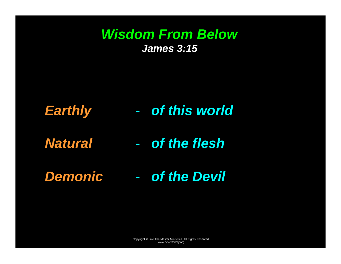# *Wisdom From Below James 3:15*

- *Earthly*  - *of this world*
- *Natural of the flesh*
- *Demonic of the Devil*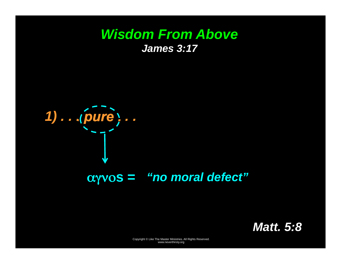

 $\alpha$ yvos = "no moral defect"

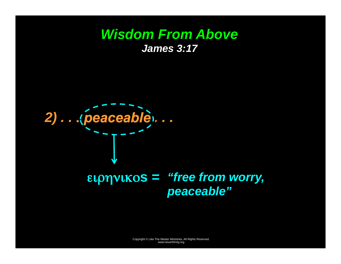

# ειρηνικοs = "free from worry, peaceable"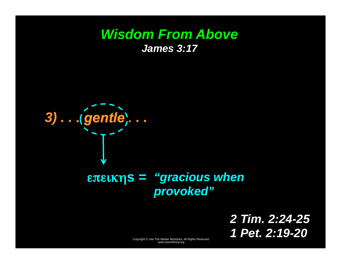

## επεικηs = "gracious when" provoked"

2 Tim. 2:24-25 1 Pet. 2:19-20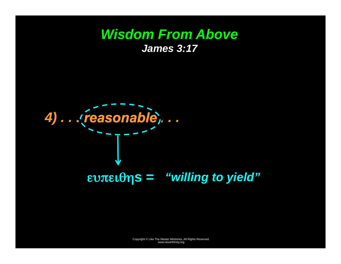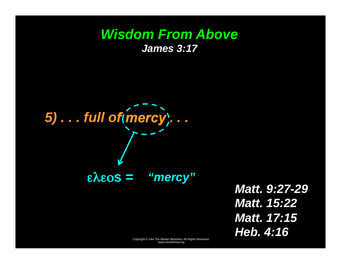5)... full of (mercy)...  $\epsilon \lambda \epsilon$ os = "mercy"

**Matt. 9:27-29 Matt. 15:22 Matt. 17:15** Heb. 4:16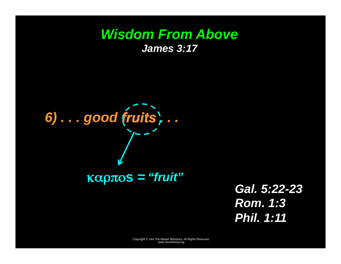6) ... good fruits,... **Kαρπos = "fruit"** 

Gal. 5:22-23 **Rom. 1:3 Phil. 1:11**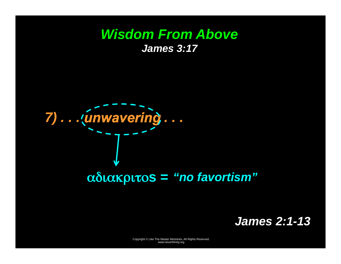

**James 2:1-13**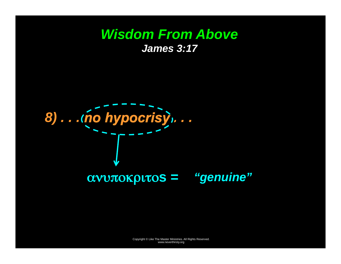